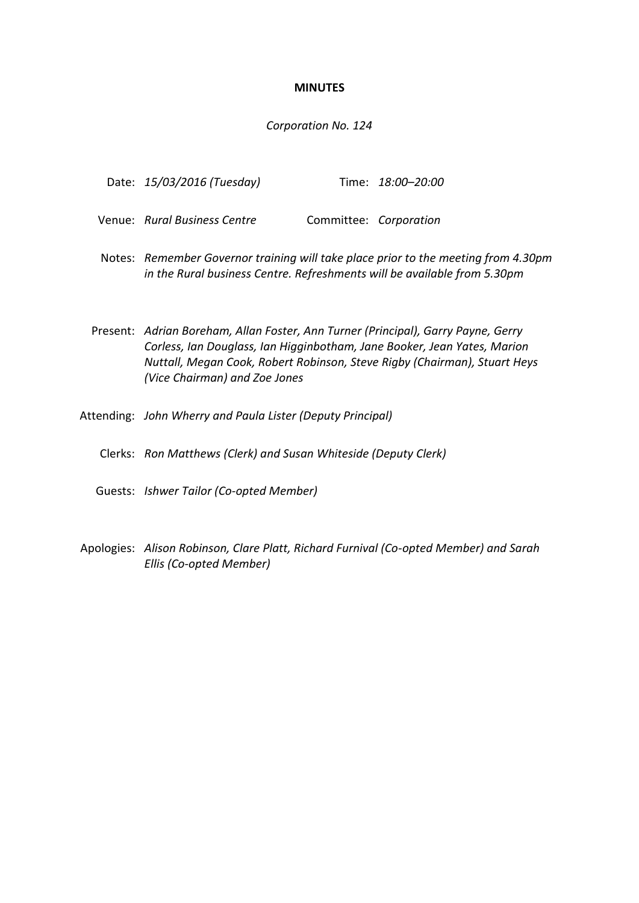#### **MINUTES**

#### *Corporation No. 124*

| Date: 15/03/2016 (Tuesday) | Time: 18:00-20:00 |
|----------------------------|-------------------|
|----------------------------|-------------------|

- Venue: *Rural Business Centre* Committee: *Corporation*
- Notes: *Remember Governor training will take place prior to the meeting from 4.30pm in the Rural business Centre. Refreshments will be available from 5.30pm*

Present: *Adrian Boreham, Allan Foster, Ann Turner (Principal), Garry Payne, Gerry Corless, Ian Douglass, Ian Higginbotham, Jane Booker, Jean Yates, Marion Nuttall, Megan Cook, Robert Robinson, Steve Rigby (Chairman), Stuart Heys (Vice Chairman) and Zoe Jones*

- Attending: *John Wherry and Paula Lister (Deputy Principal)*
	- Clerks: *Ron Matthews (Clerk) and Susan Whiteside (Deputy Clerk)*
	- Guests: *Ishwer Tailor (Co-opted Member)*
- Apologies: *Alison Robinson, Clare Platt, Richard Furnival (Co-opted Member) and Sarah Ellis (Co-opted Member)*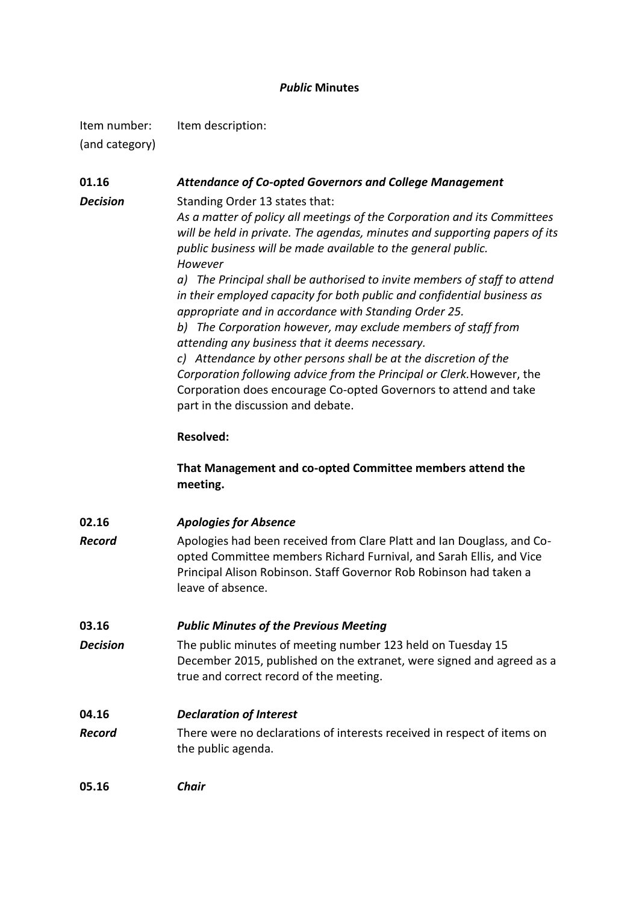## *Public* **Minutes**

Item number: Item description:

(and category)

**01.16** *Attendance of Co-opted Governors and College Management Decision* Standing Order 13 states that: *As a matter of policy all meetings of the Corporation and its Committees will be held in private. The agendas, minutes and supporting papers of its public business will be made available to the general public. However a) The Principal shall be authorised to invite members of staff to attend in their employed capacity for both public and confidential business as appropriate and in accordance with Standing Order 25. b) The Corporation however, may exclude members of staff from attending any business that it deems necessary. c) Attendance by other persons shall be at the discretion of the Corporation following advice from the Principal or Clerk.*However, the Corporation does encourage Co-opted Governors to attend and take part in the discussion and debate. **Resolved: That Management and co-opted Committee members attend the meeting. 02.16** *Apologies for Absence Record* Apologies had been received from Clare Platt and Ian Douglass, and Coopted Committee members Richard Furnival, and Sarah Ellis, and Vice Principal Alison Robinson. Staff Governor Rob Robinson had taken a leave of absence. **03.16** *Public Minutes of the Previous Meeting Decision* The public minutes of meeting number 123 held on Tuesday 15 December 2015, published on the extranet, were signed and agreed as a true and correct record of the meeting. **04.16** *Declaration of Interest Record* There were no declarations of interests received in respect of items on the public agenda. **05.16** *Chair*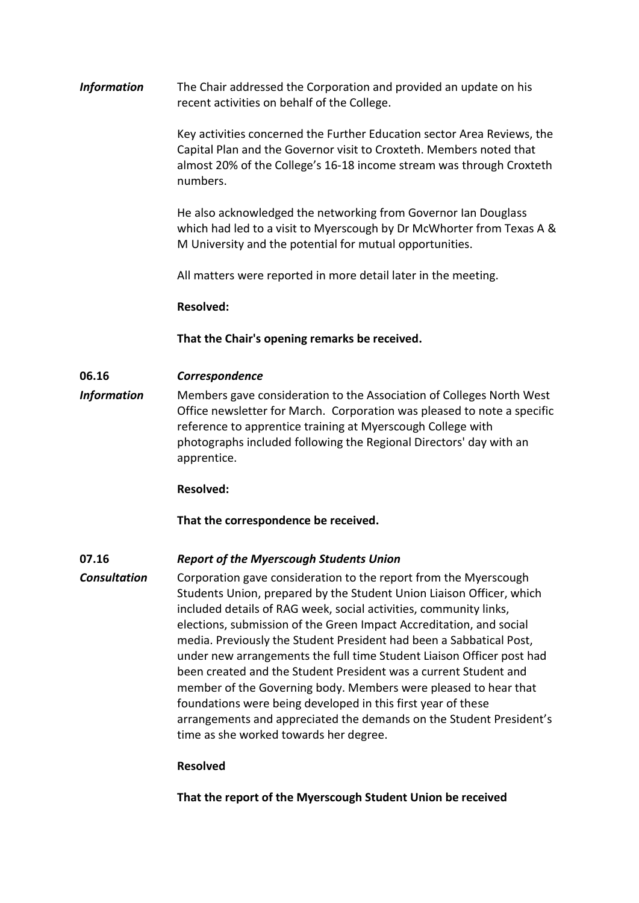*Information* The Chair addressed the Corporation and provided an update on his recent activities on behalf of the College.

> Key activities concerned the Further Education sector Area Reviews, the Capital Plan and the Governor visit to Croxteth. Members noted that almost 20% of the College's 16-18 income stream was through Croxteth numbers.

> He also acknowledged the networking from Governor Ian Douglass which had led to a visit to Myerscough by Dr McWhorter from Texas A & M University and the potential for mutual opportunities.

All matters were reported in more detail later in the meeting.

**Resolved:**

**That the Chair's opening remarks be received.**

### **06.16** *Correspondence*

*Information* Members gave consideration to the Association of Colleges North West Office newsletter for March. Corporation was pleased to note a specific reference to apprentice training at Myerscough College with photographs included following the Regional Directors' day with an apprentice.

**Resolved:**

**That the correspondence be received.**

## **07.16** *Report of the Myerscough Students Union*

**Consultation** Corporation gave consideration to the report from the Myerscough Students Union, prepared by the Student Union Liaison Officer, which included details of RAG week, social activities, community links, elections, submission of the Green Impact Accreditation, and social media. Previously the Student President had been a Sabbatical Post, under new arrangements the full time Student Liaison Officer post had been created and the Student President was a current Student and member of the Governing body. Members were pleased to hear that foundations were being developed in this first year of these arrangements and appreciated the demands on the Student President's time as she worked towards her degree.

#### **Resolved**

**That the report of the Myerscough Student Union be received**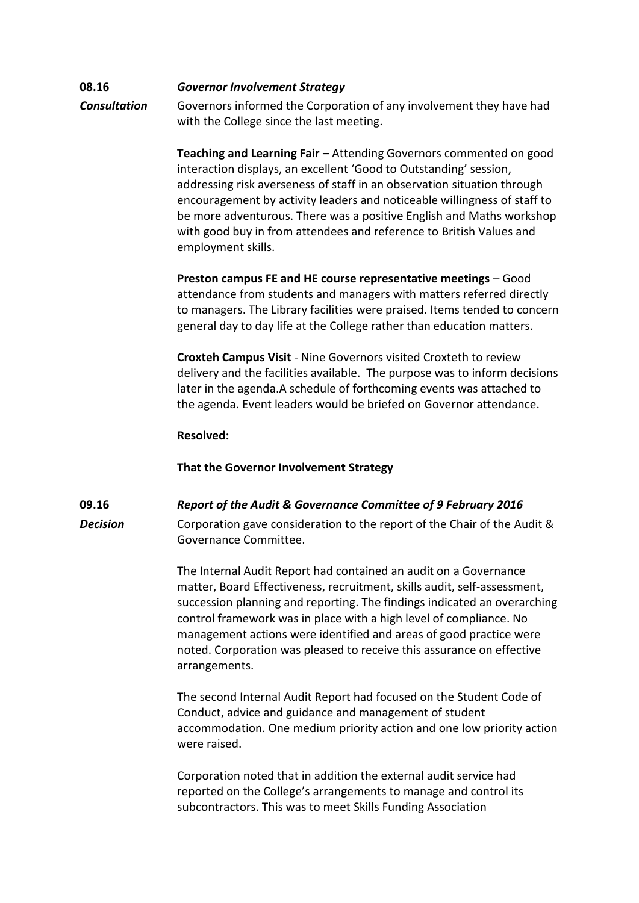## **08.16** *Governor Involvement Strategy Consultation* Governors informed the Corporation of any involvement they have had with the College since the last meeting.

**Teaching and Learning Fair –** Attending Governors commented on good interaction displays, an excellent 'Good to Outstanding' session, addressing risk averseness of staff in an observation situation through encouragement by activity leaders and noticeable willingness of staff to be more adventurous. There was a positive English and Maths workshop with good buy in from attendees and reference to British Values and employment skills.

**Preston campus FE and HE course representative meetings** – Good attendance from students and managers with matters referred directly to managers. The Library facilities were praised. Items tended to concern general day to day life at the College rather than education matters.

**Croxteh Campus Visit** - Nine Governors visited Croxteth to review delivery and the facilities available. The purpose was to inform decisions later in the agenda.A schedule of forthcoming events was attached to the agenda. Event leaders would be briefed on Governor attendance.

### **Resolved:**

## **That the Governor Involvement Strategy**

## **09.16** *Report of the Audit & Governance Committee of 9 February 2016*

**Decision** Corporation gave consideration to the report of the Chair of the Audit & Governance Committee.

> The Internal Audit Report had contained an audit on a Governance matter, Board Effectiveness, recruitment, skills audit, self-assessment, succession planning and reporting. The findings indicated an overarching control framework was in place with a high level of compliance. No management actions were identified and areas of good practice were noted. Corporation was pleased to receive this assurance on effective arrangements.

> The second Internal Audit Report had focused on the Student Code of Conduct, advice and guidance and management of student accommodation. One medium priority action and one low priority action were raised.

Corporation noted that in addition the external audit service had reported on the College's arrangements to manage and control its subcontractors. This was to meet Skills Funding Association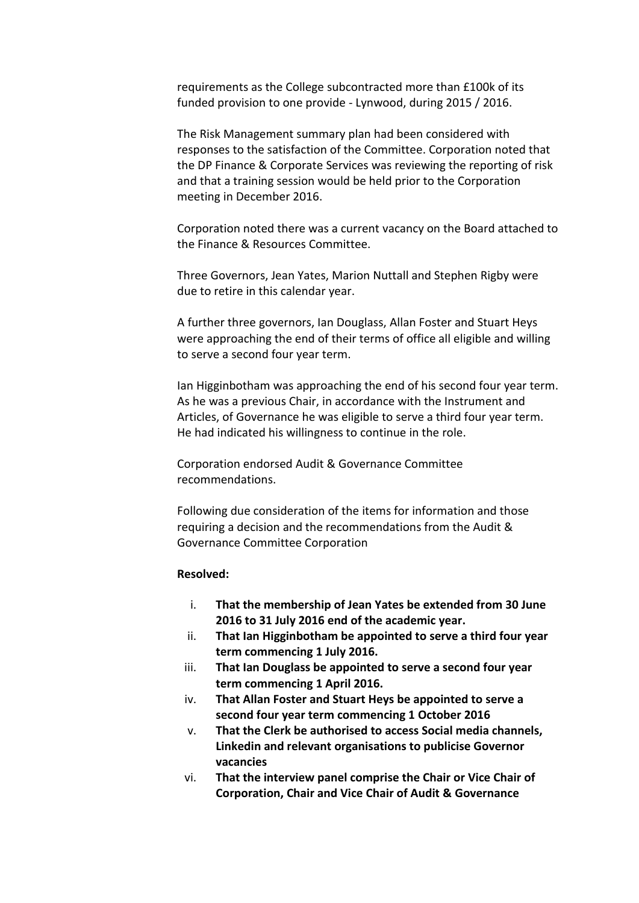requirements as the College subcontracted more than £100k of its funded provision to one provide - Lynwood, during 2015 / 2016.

The Risk Management summary plan had been considered with responses to the satisfaction of the Committee. Corporation noted that the DP Finance & Corporate Services was reviewing the reporting of risk and that a training session would be held prior to the Corporation meeting in December 2016.

Corporation noted there was a current vacancy on the Board attached to the Finance & Resources Committee.

Three Governors, Jean Yates, Marion Nuttall and Stephen Rigby were due to retire in this calendar year.

A further three governors, Ian Douglass, Allan Foster and Stuart Heys were approaching the end of their terms of office all eligible and willing to serve a second four year term.

Ian Higginbotham was approaching the end of his second four year term. As he was a previous Chair, in accordance with the Instrument and Articles, of Governance he was eligible to serve a third four year term. He had indicated his willingness to continue in the role.

Corporation endorsed Audit & Governance Committee recommendations.

Following due consideration of the items for information and those requiring a decision and the recommendations from the Audit & Governance Committee Corporation

### **Resolved:**

- i. **That the membership of Jean Yates be extended from 30 June 2016 to 31 July 2016 end of the academic year.**
- ii. **That Ian Higginbotham be appointed to serve a third four year term commencing 1 July 2016.**
- iii. **That Ian Douglass be appointed to serve a second four year term commencing 1 April 2016.**
- iv. **That Allan Foster and Stuart Heys be appointed to serve a second four year term commencing 1 October 2016**
- v. **That the Clerk be authorised to access Social media channels, Linkedin and relevant organisations to publicise Governor vacancies**
- vi. **That the interview panel comprise the Chair or Vice Chair of Corporation, Chair and Vice Chair of Audit & Governance**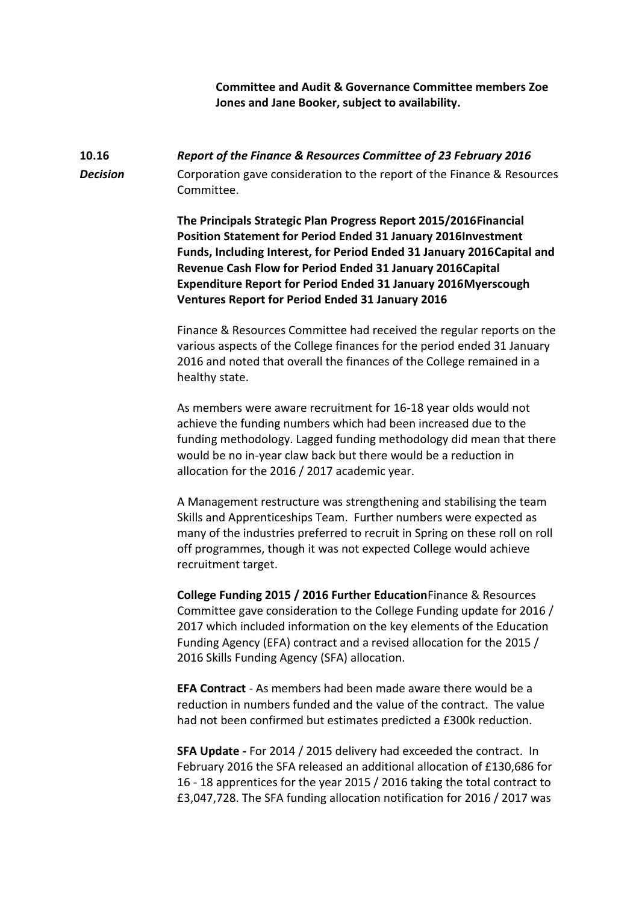**Committee and Audit & Governance Committee members Zoe Jones and Jane Booker, subject to availability.**

# **10.16** *Report of the Finance & Resources Committee of 23 February 2016* **Decision** Corporation gave consideration to the report of the Finance & Resources Committee.

**The Principals Strategic Plan Progress Report 2015/2016Financial Position Statement for Period Ended 31 January 2016Investment Funds, Including Interest, for Period Ended 31 January 2016Capital and Revenue Cash Flow for Period Ended 31 January 2016Capital Expenditure Report for Period Ended 31 January 2016Myerscough Ventures Report for Period Ended 31 January 2016**

Finance & Resources Committee had received the regular reports on the various aspects of the College finances for the period ended 31 January 2016 and noted that overall the finances of the College remained in a healthy state.

As members were aware recruitment for 16-18 year olds would not achieve the funding numbers which had been increased due to the funding methodology. Lagged funding methodology did mean that there would be no in-year claw back but there would be a reduction in allocation for the 2016 / 2017 academic year.

A Management restructure was strengthening and stabilising the team Skills and Apprenticeships Team. Further numbers were expected as many of the industries preferred to recruit in Spring on these roll on roll off programmes, though it was not expected College would achieve recruitment target.

**College Funding 2015 / 2016 Further Education**Finance & Resources Committee gave consideration to the College Funding update for 2016 / 2017 which included information on the key elements of the Education Funding Agency (EFA) contract and a revised allocation for the 2015 / 2016 Skills Funding Agency (SFA) allocation.

**EFA Contract** - As members had been made aware there would be a reduction in numbers funded and the value of the contract. The value had not been confirmed but estimates predicted a £300k reduction.

**SFA Update -** For 2014 / 2015 delivery had exceeded the contract. In February 2016 the SFA released an additional allocation of £130,686 for 16 - 18 apprentices for the year 2015 / 2016 taking the total contract to £3,047,728. The SFA funding allocation notification for 2016 / 2017 was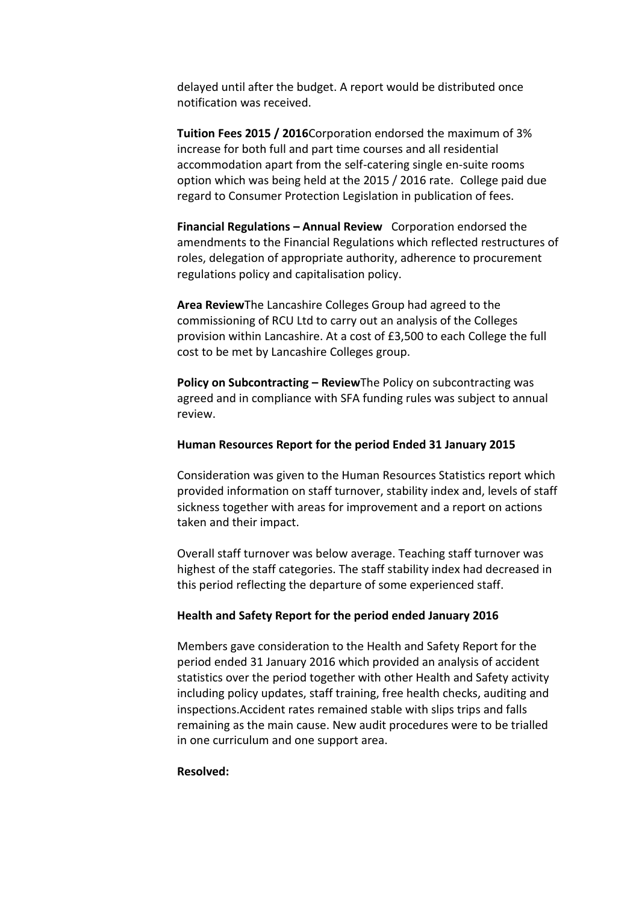delayed until after the budget. A report would be distributed once notification was received.

**Tuition Fees 2015 / 2016**Corporation endorsed the maximum of 3% increase for both full and part time courses and all residential accommodation apart from the self-catering single en-suite rooms option which was being held at the 2015 / 2016 rate. College paid due regard to Consumer Protection Legislation in publication of fees.

**Financial Regulations – Annual Review** Corporation endorsed the amendments to the Financial Regulations which reflected restructures of roles, delegation of appropriate authority, adherence to procurement regulations policy and capitalisation policy.

**Area Review**The Lancashire Colleges Group had agreed to the commissioning of RCU Ltd to carry out an analysis of the Colleges provision within Lancashire. At a cost of £3,500 to each College the full cost to be met by Lancashire Colleges group.

**Policy on Subcontracting – ReviewThe Policy on subcontracting was** agreed and in compliance with SFA funding rules was subject to annual review.

#### **Human Resources Report for the period Ended 31 January 2015**

Consideration was given to the Human Resources Statistics report which provided information on staff turnover, stability index and, levels of staff sickness together with areas for improvement and a report on actions taken and their impact.

Overall staff turnover was below average. Teaching staff turnover was highest of the staff categories. The staff stability index had decreased in this period reflecting the departure of some experienced staff.

#### **Health and Safety Report for the period ended January 2016**

Members gave consideration to the Health and Safety Report for the period ended 31 January 2016 which provided an analysis of accident statistics over the period together with other Health and Safety activity including policy updates, staff training, free health checks, auditing and inspections.Accident rates remained stable with slips trips and falls remaining as the main cause. New audit procedures were to be trialled in one curriculum and one support area.

#### **Resolved:**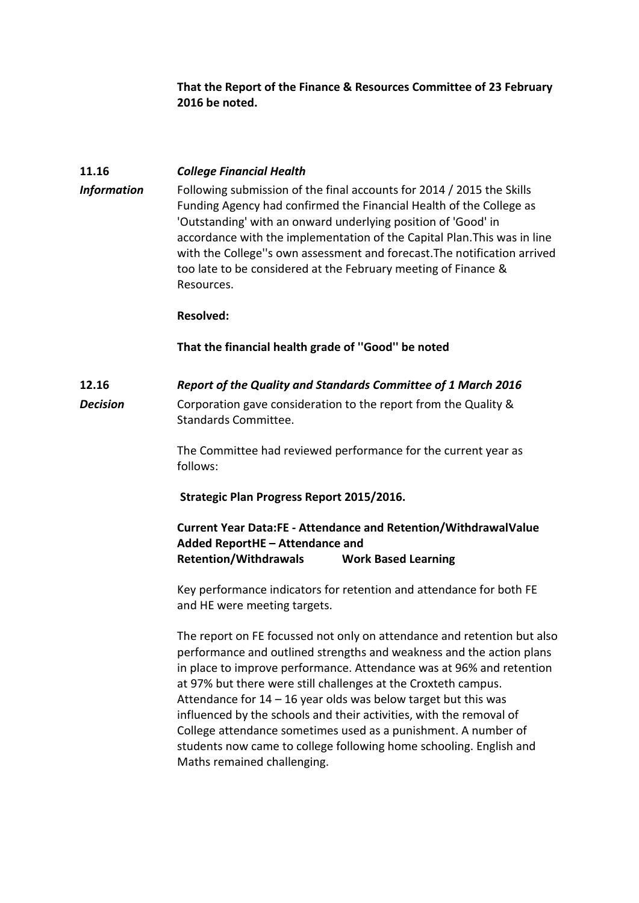**That the Report of the Finance & Resources Committee of 23 February 2016 be noted.**

### **11.16** *College Financial Health*

*Information* Following submission of the final accounts for 2014 / 2015 the Skills Funding Agency had confirmed the Financial Health of the College as 'Outstanding' with an onward underlying position of 'Good' in accordance with the implementation of the Capital Plan.This was in line with the College''s own assessment and forecast.The notification arrived too late to be considered at the February meeting of Finance & Resources.

#### **Resolved:**

### **That the financial health grade of ''Good'' be noted**

## **12.16** *Report of the Quality and Standards Committee of 1 March 2016*

**Decision** Corporation gave consideration to the report from the Quality & Standards Committee.

> The Committee had reviewed performance for the current year as follows:

**Strategic Plan Progress Report 2015/2016.** 

**Current Year Data:FE - Attendance and Retention/WithdrawalValue Added ReportHE – Attendance and Retention/Withdrawals Work Based Learning**

Key performance indicators for retention and attendance for both FE and HE were meeting targets.

The report on FE focussed not only on attendance and retention but also performance and outlined strengths and weakness and the action plans in place to improve performance. Attendance was at 96% and retention at 97% but there were still challenges at the Croxteth campus. Attendance for  $14 - 16$  year olds was below target but this was influenced by the schools and their activities, with the removal of College attendance sometimes used as a punishment. A number of students now came to college following home schooling. English and Maths remained challenging.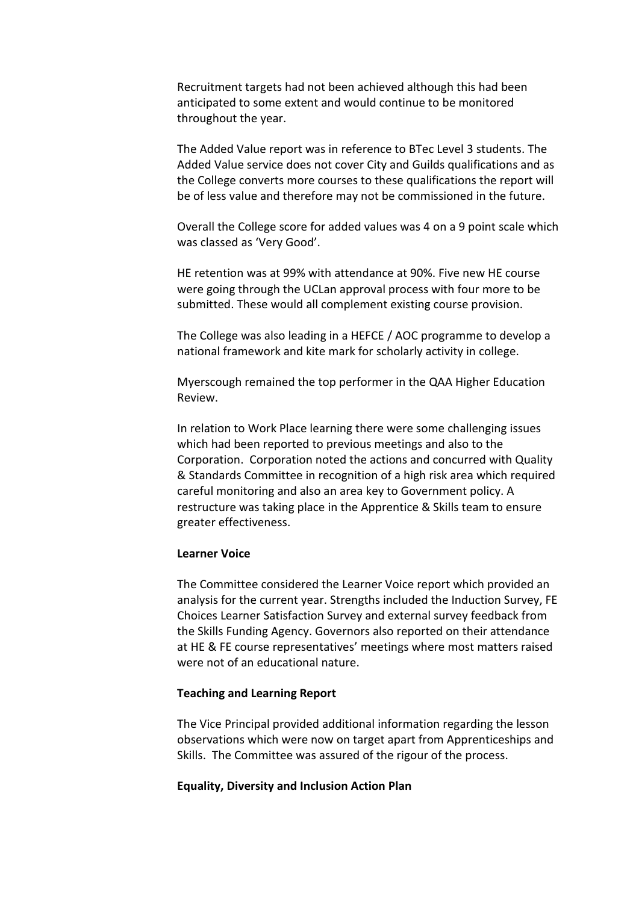Recruitment targets had not been achieved although this had been anticipated to some extent and would continue to be monitored throughout the year.

The Added Value report was in reference to BTec Level 3 students. The Added Value service does not cover City and Guilds qualifications and as the College converts more courses to these qualifications the report will be of less value and therefore may not be commissioned in the future.

Overall the College score for added values was 4 on a 9 point scale which was classed as 'Very Good'.

HE retention was at 99% with attendance at 90%. Five new HE course were going through the UCLan approval process with four more to be submitted. These would all complement existing course provision.

The College was also leading in a HEFCE / AOC programme to develop a national framework and kite mark for scholarly activity in college.

Myerscough remained the top performer in the QAA Higher Education Review.

In relation to Work Place learning there were some challenging issues which had been reported to previous meetings and also to the Corporation. Corporation noted the actions and concurred with Quality & Standards Committee in recognition of a high risk area which required careful monitoring and also an area key to Government policy. A restructure was taking place in the Apprentice & Skills team to ensure greater effectiveness.

#### **Learner Voice**

The Committee considered the Learner Voice report which provided an analysis for the current year. Strengths included the Induction Survey, FE Choices Learner Satisfaction Survey and external survey feedback from the Skills Funding Agency. Governors also reported on their attendance at HE & FE course representatives' meetings where most matters raised were not of an educational nature.

#### **Teaching and Learning Report**

The Vice Principal provided additional information regarding the lesson observations which were now on target apart from Apprenticeships and Skills. The Committee was assured of the rigour of the process.

#### **Equality, Diversity and Inclusion Action Plan**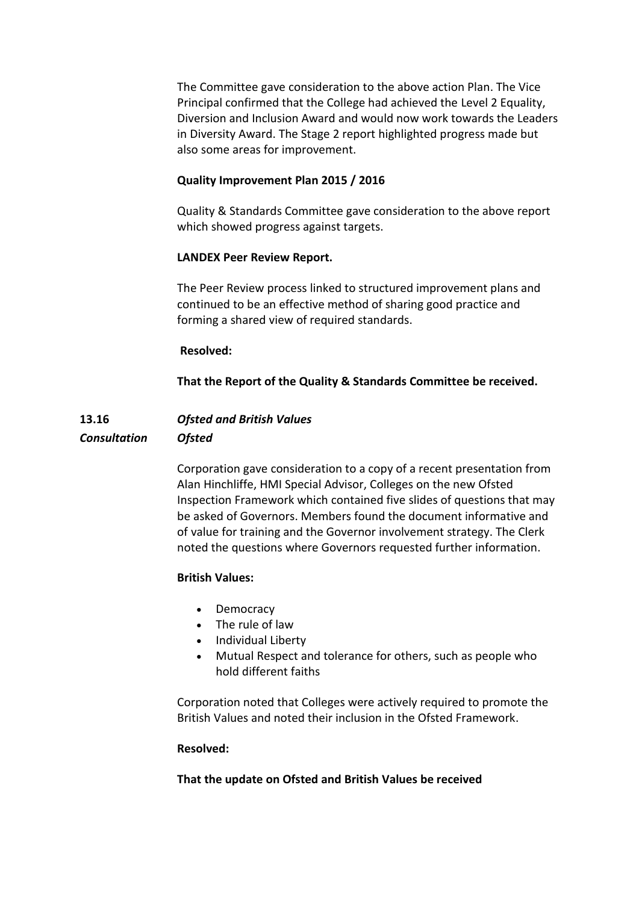The Committee gave consideration to the above action Plan. The Vice Principal confirmed that the College had achieved the Level 2 Equality, Diversion and Inclusion Award and would now work towards the Leaders in Diversity Award. The Stage 2 report highlighted progress made but also some areas for improvement.

## **Quality Improvement Plan 2015 / 2016**

Quality & Standards Committee gave consideration to the above report which showed progress against targets.

## **LANDEX Peer Review Report.**

The Peer Review process linked to structured improvement plans and continued to be an effective method of sharing good practice and forming a shared view of required standards.

## **Resolved:**

**That the Report of the Quality & Standards Committee be received.**

# **13.16** *Ofsted and British Values Consultation Ofsted*

Corporation gave consideration to a copy of a recent presentation from Alan Hinchliffe, HMI Special Advisor, Colleges on the new Ofsted Inspection Framework which contained five slides of questions that may be asked of Governors. Members found the document informative and of value for training and the Governor involvement strategy. The Clerk noted the questions where Governors requested further information.

## **British Values:**

- Democracy
- The rule of law
- Individual Liberty
- Mutual Respect and tolerance for others, such as people who hold different faiths

Corporation noted that Colleges were actively required to promote the British Values and noted their inclusion in the Ofsted Framework.

## **Resolved:**

## **That the update on Ofsted and British Values be received**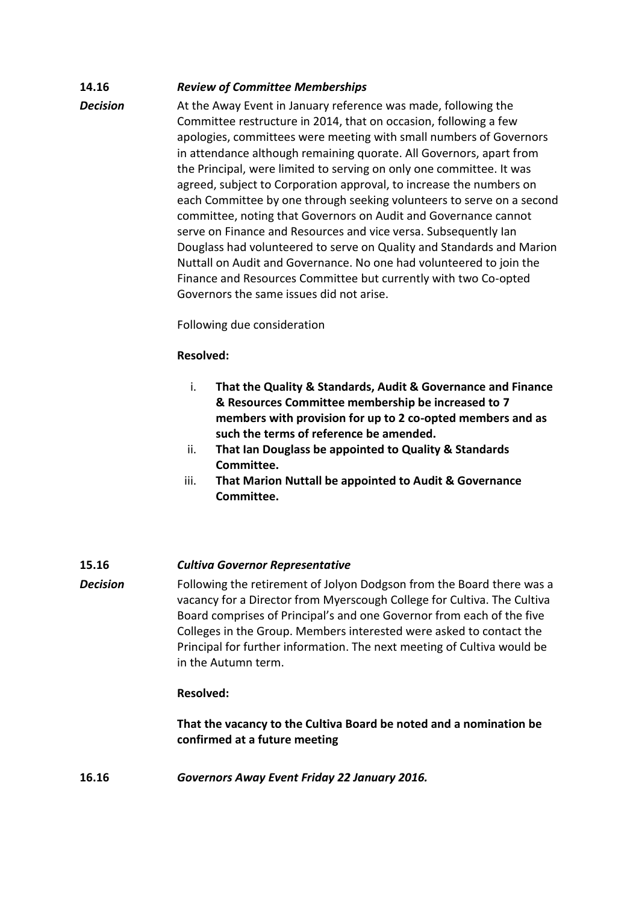## **14.16** *Review of Committee Memberships*

**Decision** At the Away Event in January reference was made, following the Committee restructure in 2014, that on occasion, following a few apologies, committees were meeting with small numbers of Governors in attendance although remaining quorate. All Governors, apart from the Principal, were limited to serving on only one committee. It was agreed, subject to Corporation approval, to increase the numbers on each Committee by one through seeking volunteers to serve on a second committee, noting that Governors on Audit and Governance cannot serve on Finance and Resources and vice versa. Subsequently Ian Douglass had volunteered to serve on Quality and Standards and Marion Nuttall on Audit and Governance. No one had volunteered to join the Finance and Resources Committee but currently with two Co-opted Governors the same issues did not arise.

Following due consideration

## **Resolved:**

- i. **That the Quality & Standards, Audit & Governance and Finance & Resources Committee membership be increased to 7 members with provision for up to 2 co-opted members and as such the terms of reference be amended.**
- ii. **That Ian Douglass be appointed to Quality & Standards Committee.**
- iii. **That Marion Nuttall be appointed to Audit & Governance Committee.**

## **15.16** *Cultiva Governor Representative*

**Decision** Following the retirement of Jolyon Dodgson from the Board there was a vacancy for a Director from Myerscough College for Cultiva. The Cultiva Board comprises of Principal's and one Governor from each of the five Colleges in the Group. Members interested were asked to contact the Principal for further information. The next meeting of Cultiva would be in the Autumn term.

## **Resolved:**

**That the vacancy to the Cultiva Board be noted and a nomination be confirmed at a future meeting**

**16.16** *Governors Away Event Friday 22 January 2016.*